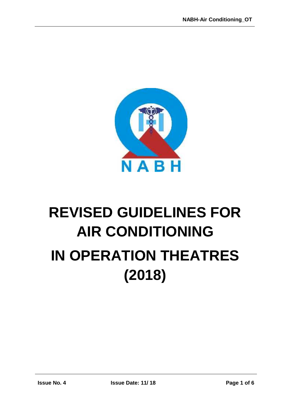

# **REVISED GUIDELINES FOR AIR CONDITIONING IN OPERATION THEATRES (2018)**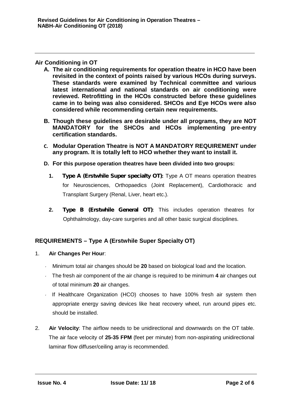# **Air Conditioning in OT**

- **A. The air conditioning requirements for operation theatre in HCO have been revisited in the context of points raised by various HCOs during surveys. These standards were examined by Technical committee and various latest international and national standards on air conditioning were reviewed. Retrofitting in the HCOs constructed before these guidelines came in to being was also considered. SHCOs and Eye HCOs were also considered while recommending certain new requirements.**
- **B. Though these guidelines are desirable under all programs, they are NOT MANDATORY for the SHCOs and HCOs implementing pre-entry certification standards.**
- **C. Modular Operation Theatre is NOT A MANDATORY REQUIREMENT under any program. It is totally left to HCO whether they want to install it.**
- **D. For this purpose operation theatres have been divided into two groups:**
	- **1.** *Type A (Erstwhile Super specialty OT)***:** Type A OT means operation theatres for Neurosciences, Orthopaedics (Joint Replacement), Cardiothoracic and Transplant Surgery (Renal, Liver, heart etc.).
	- **2.** *Type B (Erstwhile General OT)***:** This includes operation theatres for Ophthalmology, day-care surgeries and all other basic surgical disciplines.

# **REQUIREMENTS – Type A (Erstwhile Super Specialty OT)**

- 1. **Air Changes Per Hour**:
	- Minimum total air changes should be **20** based on biological load and the location.
	- The fresh air component of the air change is required to be minimum **4** air changes out of total minimum **20** air changes.
	- If Healthcare Organization (HCO) chooses to have 100% fresh air system then appropriate energy saving devices like heat recovery wheel, run around pipes etc. should be installed.
- 2. **Air Velocity**: The airflow needs to be unidirectional and downwards on the OT table. The air face velocity of **25-35 FPM (**feet per minute) from non-aspirating unidirectional laminar flow diffuser/ceiling array is recommended.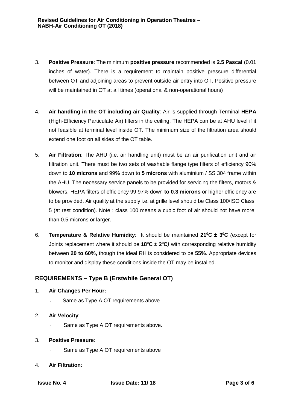- 3. **Positive Pressure**: The minimum **positive pressure** recommended is **2.5 Pascal** (0.01 inches of water). There is a requirement to maintain positive pressure differential between OT and adjoining areas to prevent outside air entry into OT. Positive pressure will be maintained in OT at all times (operational & non-operational hours)
- 4. **Air handling in the OT including air Quality**: Air is supplied through Terminal **HEPA** (High-Efficiency Particulate Air) filters in the ceiling. The HEPA can be at AHU level if it not feasible at terminal level inside OT.The minimum size of the filtration area should extend one foot on all sides of the OT table.
- 5. **Air Filtration**: The AHU (i.e. air handling unit) must be an air purification unitand air filtration unit. There must be two sets of washable flange type filters of efficiency 90% down to **10 microns** and 99% down to **5 microns** with aluminium / SS 304 frame within the AHU. The necessary service panels to be provided for servicing the filters, motors & blowers. HEPA filters of efficiency 99.97% down **to 0.3 microns** or higher efficiency are to be provided. Air quality at the supply i.e. at grille level should be Class 100/ISO Class 5 (at rest condition). Note : class 100 means a cubic foot of air should not have more than 0.5 microns or larger.
- 6. **Temperature & Relative Humidity**: It should be maintained **21<sup>0</sup>C ± 3 <sup>0</sup>C** *(*except for Joints replacement where it should be **18<sup>0</sup>C ± 2<sup>0</sup>C***)* with corresponding relative humidity between **20 to 60%,** though the idealRH is considered to be **55%**. Appropriate devices to monitor and display these conditions inside the OT may be installed.

# **REQUIREMENTS – Type B (Erstwhile General OT)**

- 1. **Air Changes Per Hour:**
	- Same as Type A OT requirements above
- 2. **Air Velocity**:
	- Same as Type A OT requirements above.
- 3. **Positive Pressure**:
	- Same as Type A OT requirements above
- 4. **Air Filtration**: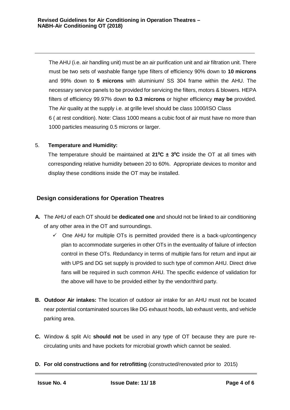The AHU (i.e. air handling unit) must be an air purification unit and air filtration unit.There must be two sets of washable flange type filters of efficiency 90% down to **10 microns** and 99% down to **5 microns** with aluminium/ SS 304 frame within the AHU. The necessary service panels to be provided for servicing the filters, motors & blowers. HEPA filters of efficiency 99.97% down **to 0.3 microns** or higher efficiency **may be** provided. The Air quality at the supply i.e. at grille level should be class 1000/ISO Class 6 ( at rest condition). Note: Class 1000 means a cubic foot of air must have no more than 1000 particles measuring 0.5 microns or larger.

#### 5. **Temperature and Humidity:**

The temperature should be maintained at **21<sup>0</sup>C ± 3 <sup>0</sup>C** inside the OT at all times with corresponding relative humidity between 20 to 60%. Appropriate devices to monitor and display these conditions inside the OT may be installed.

# **Design considerations for Operation Theatres**

- **A.** The AHU of each OT should be **dedicated one** and should not be linked to air conditioning of any other area in the OT and surroundings.
	- $\checkmark$  One AHU for multiple OTs is permitted provided there is a back-up/contingency plan to accommodate surgeries in other OTs in the eventuality of failure of infection control in these OTs. Redundancy in terms of multiple fans for return and input air with UPS and DG set supply is provided to such type of common AHU. Direct drive fans will be required in such common AHU. The specific evidence of validation for the above will have to be provided either by the vendor/third party.
- **B. Outdoor Air intakes:** The location of outdoor air intake for an AHU must not be located near potential contaminated sources like DG exhausthoods, lab exhaust vents, and vehicle parking area.
- **C.** Window & split A/c **should not** be used in any type of OT because they are pure re-circulating units and have pockets for microbial growth which cannot be sealed.
- **D.** For old constructions and for retrofitting (constructed/renovated prior to 2015)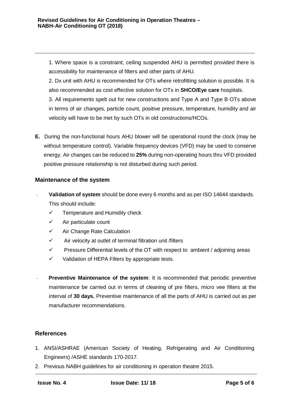1. Where space is a constraint, ceiling suspended AHU is permitted provided there is accessibility for maintenance of filters and other parts of AHU.

2. Dx unit with AHU is recommended for OTs where retrofitting solution is possible. It is also recommended as cost effective solution for OTs in **SHCO/Eye care** hospitals.

3. All requirements spelt out for new constructions and Type A and Type B OTs above in terms of air changes, particle count, positive pressure, temperature, humidity and air velocity will have to be met by such OTs in old constructions/HCOs.

**E.** During the non-functional hours AHU blower will be operational round the clock (may be without temperature control). Variable frequency devices (VFD) may be used to conserve energy. Air changes can be reduced to **25%** during non-operating hours thru VFD provided positive pressure relationship is not disturbed during such period.

# **Maintenance of the system**

- **Validation of system** should be done every 6 months and as per ISO 14644 standards. This should include:
	- $\checkmark$  Temperature and Humidity check
	- $\checkmark$  Air particulate count
	- $\checkmark$  Air Change Rate Calculation
	- $\checkmark$  Air velocity at outlet of terminal filtration unit /filters
	- $\checkmark$  Pressure Differential levels of the OT with respect to ambient / adjoining areas
	- $\checkmark$  Validation of HEPA Filters by appropriate tests.
- **Preventive Maintenance of the system:** It is recommended that periodic preventive maintenance be carried out in terms of cleaning of pre filters, micro vee filters at the interval of **30 days.** Preventive maintenance of all the parts of AHU is carried out as per manufacturer recommendations.

# **References**

- 1. ANSI/ASHRAE (American Society of Heating, Refrigerating and Air Conditioning Engineers) /ASHE standards 170-2017.
- 2. Previous NABH guidelines for air conditioning in operation theatre 2015.